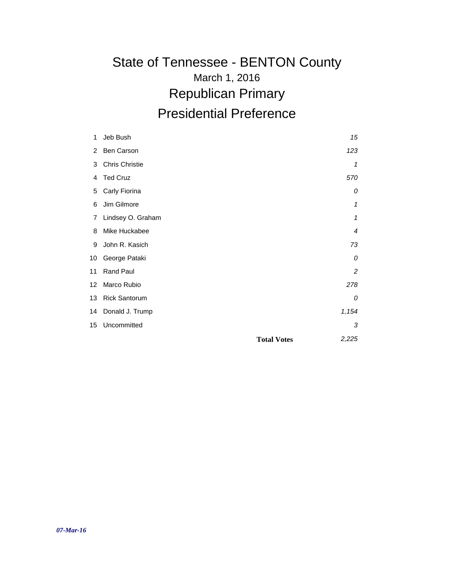#### March 1, 2016 State of Tennessee - BENTON County Republican Primary Presidential Preference

| 1  | Jeb Bush              | 15                          |
|----|-----------------------|-----------------------------|
| 2  | Ben Carson            | 123                         |
| 3  | <b>Chris Christie</b> | 1                           |
| 4  | <b>Ted Cruz</b>       | 570                         |
| 5  | Carly Fiorina         | 0                           |
| 6  | Jim Gilmore           | 1                           |
| 7  | Lindsey O. Graham     | 1                           |
| 8  | Mike Huckabee         | $\overline{4}$              |
| 9  | John R. Kasich        | 73                          |
| 10 | George Pataki         | 0                           |
| 11 | Rand Paul             | $\overline{c}$              |
| 12 | Marco Rubio           | 278                         |
| 13 | <b>Rick Santorum</b>  | 0                           |
| 14 | Donald J. Trump       | 1,154                       |
| 15 | Uncommitted           | 3                           |
|    |                       | 2,225<br><b>Total Votes</b> |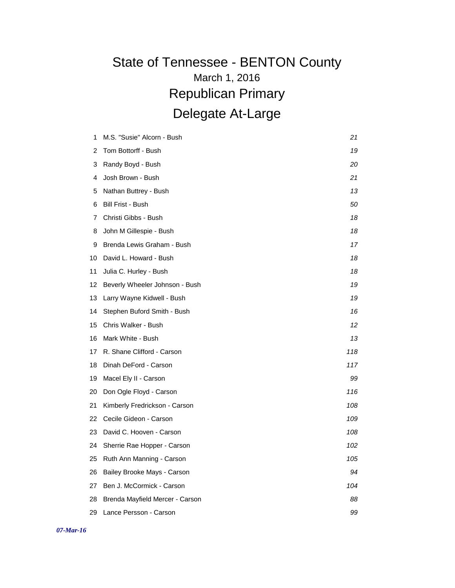| 1  | M.S. "Susie" Alcorn - Bush      | 21  |
|----|---------------------------------|-----|
| 2  | Tom Bottorff - Bush             | 19  |
| 3  | Randy Boyd - Bush               | 20  |
| 4  | Josh Brown - Bush               | 21  |
| 5  | Nathan Buttrey - Bush           | 13  |
| 6  | Bill Frist - Bush               | 50  |
| 7  | Christi Gibbs - Bush            | 18  |
| 8  | John M Gillespie - Bush         | 18  |
| 9  | Brenda Lewis Graham - Bush      | 17  |
| 10 | David L. Howard - Bush          | 18  |
| 11 | Julia C. Hurley - Bush          | 18  |
| 12 | Beverly Wheeler Johnson - Bush  | 19  |
| 13 | Larry Wayne Kidwell - Bush      | 19  |
| 14 | Stephen Buford Smith - Bush     | 16  |
| 15 | Chris Walker - Bush             | 12  |
| 16 | Mark White - Bush               | 13  |
| 17 | R. Shane Clifford - Carson      | 118 |
| 18 | Dinah DeFord - Carson           | 117 |
| 19 | Macel Ely II - Carson           | 99  |
| 20 | Don Ogle Floyd - Carson         | 116 |
| 21 | Kimberly Fredrickson - Carson   | 108 |
| 22 | Cecile Gideon - Carson          | 109 |
| 23 | David C. Hooven - Carson        | 108 |
| 24 | Sherrie Rae Hopper - Carson     | 102 |
| 25 | Ruth Ann Manning - Carson       | 105 |
| 26 | Bailey Brooke Mays - Carson     | 94  |
| 27 | Ben J. McCormick - Carson       | 104 |
| 28 | Brenda Mayfield Mercer - Carson | 88  |
| 29 | Lance Persson - Carson          | 99  |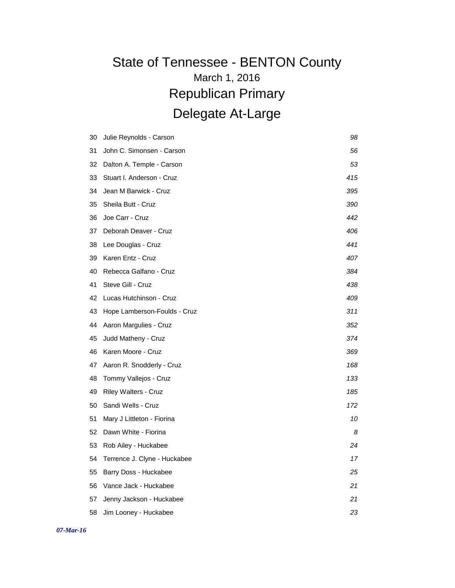| 30 | Julie Reynolds - Carson      | 98  |
|----|------------------------------|-----|
|    |                              |     |
| 31 | John C. Simonsen - Carson    | 56  |
| 32 | Dalton A. Temple - Carson    | 53  |
| 33 | Stuart I. Anderson - Cruz    | 415 |
| 34 | Jean M Barwick - Cruz        | 395 |
| 35 | Sheila Butt - Cruz           | 390 |
| 36 | Joe Carr - Cruz              | 442 |
| 37 | Deborah Deaver - Cruz        | 406 |
| 38 | Lee Douglas - Cruz           | 441 |
| 39 | Karen Entz - Cruz            | 407 |
| 40 | Rebecca Galfano - Cruz       | 384 |
| 41 | Steve Gill - Cruz            | 438 |
| 42 | Lucas Hutchinson - Cruz      | 409 |
| 43 | Hope Lamberson-Foulds - Cruz | 311 |
| 44 | Aaron Margulies - Cruz       | 352 |
| 45 | Judd Matheny - Cruz          | 374 |
| 46 | Karen Moore - Cruz           | 369 |
| 47 | Aaron R. Snodderly - Cruz    | 168 |
| 48 | Tommy Vallejos - Cruz        | 133 |
| 49 | <b>Riley Walters - Cruz</b>  | 185 |
| 50 | Sandi Wells - Cruz           | 172 |
| 51 | Mary J Littleton - Fiorina   | 10  |
| 52 | Dawn White - Fiorina         | 8   |
| 53 | Rob Ailey - Huckabee         | 24  |
| 54 | Terrence J. Clyne - Huckabee | 17  |
| 55 | Barry Doss - Huckabee        | 25  |
| 56 | Vance Jack - Huckabee        | 21  |
| 57 | Jenny Jackson - Huckabee     | 21  |
| 58 | Jim Looney - Huckabee        | 23  |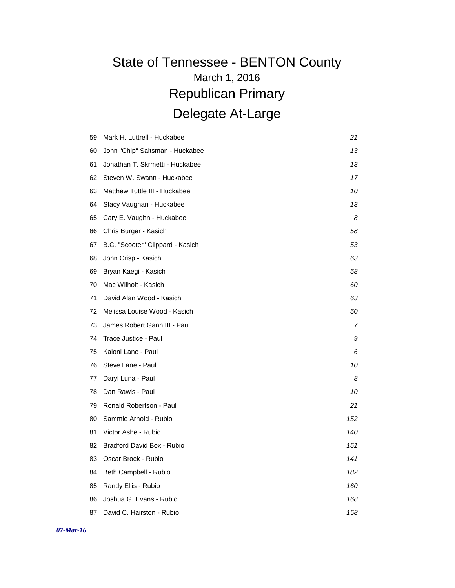| 59 | Mark H. Luttrell - Huckabee      | 21  |
|----|----------------------------------|-----|
| 60 | John "Chip" Saltsman - Huckabee  | 13  |
| 61 | Jonathan T. Skrmetti - Huckabee  | 13  |
| 62 | Steven W. Swann - Huckabee       | 17  |
| 63 | Matthew Tuttle III - Huckabee    | 10  |
| 64 | Stacy Vaughan - Huckabee         | 13  |
| 65 | Cary E. Vaughn - Huckabee        | 8   |
| 66 | Chris Burger - Kasich            | 58  |
| 67 | B.C. "Scooter" Clippard - Kasich | 53  |
| 68 | John Crisp - Kasich              | 63  |
| 69 | Bryan Kaegi - Kasich             | 58  |
| 70 | Mac Wilhoit - Kasich             | 60  |
| 71 | David Alan Wood - Kasich         | 63  |
| 72 | Melissa Louise Wood - Kasich     | 50  |
| 73 | James Robert Gann III - Paul     | 7   |
| 74 | Trace Justice - Paul             | 9   |
| 75 | Kaloni Lane - Paul               | 6   |
| 76 | Steve Lane - Paul                | 10  |
| 77 | Daryl Luna - Paul                | 8   |
| 78 | Dan Rawls - Paul                 | 10  |
| 79 | Ronald Robertson - Paul          | 21  |
| 80 | Sammie Arnold - Rubio            | 152 |
| 81 | Victor Ashe - Rubio              | 140 |
| 82 | Bradford David Box - Rubio       | 151 |
| 83 | Oscar Brock - Rubio              | 141 |
| 84 | Beth Campbell - Rubio            | 182 |
| 85 | Randy Ellis - Rubio              | 160 |
| 86 | Joshua G. Evans - Rubio          | 168 |
| 87 | David C. Hairston - Rubio        | 158 |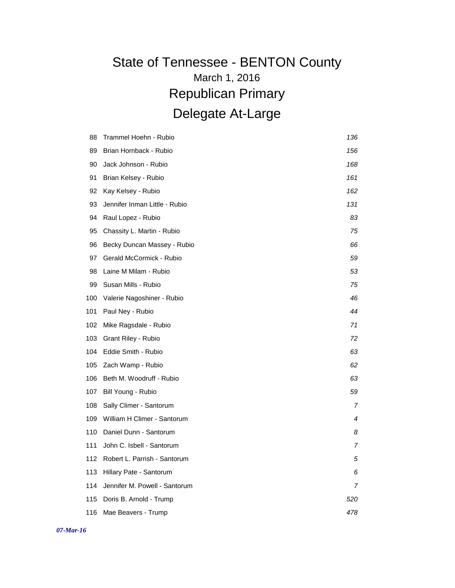| 88  | Trammel Hoehn - Rubio         | 136 |
|-----|-------------------------------|-----|
| 89  | Brian Hornback - Rubio        | 156 |
| 90  | Jack Johnson - Rubio          | 168 |
| 91  | Brian Kelsey - Rubio          | 161 |
| 92  | Kay Kelsey - Rubio            | 162 |
| 93  | Jennifer Inman Little - Rubio | 131 |
| 94  | Raul Lopez - Rubio            | 83  |
| 95  | Chassity L. Martin - Rubio    | 75  |
| 96  | Becky Duncan Massey - Rubio   | 66  |
| 97  | Gerald McCormick - Rubio      | 59  |
| 98  | Laine M Milam - Rubio         | 53  |
| 99  | Susan Mills - Rubio           | 75  |
| 100 | Valerie Nagoshiner - Rubio    | 46  |
| 101 | Paul Ney - Rubio              | 44  |
| 102 | Mike Ragsdale - Rubio         | 71  |
| 103 | Grant Riley - Rubio           | 72  |
| 104 | Eddie Smith - Rubio           | 63  |
| 105 | Zach Wamp - Rubio             | 62  |
| 106 | Beth M. Woodruff - Rubio      | 63  |
| 107 | Bill Young - Rubio            | 59  |
| 108 | Sally Climer - Santorum       | 7   |
| 109 | William H Climer - Santorum   | 4   |
| 110 | Daniel Dunn - Santorum        | 8   |
| 111 | John C. Isbell - Santorum     | 7   |
| 112 | Robert L. Parrish - Santorum  | 5   |
| 113 | Hillary Pate - Santorum       | 6   |
| 114 | Jennifer M. Powell - Santorum | 7   |
| 115 | Doris B. Arnold - Trump       | 520 |
| 116 | Mae Beavers - Trump           | 478 |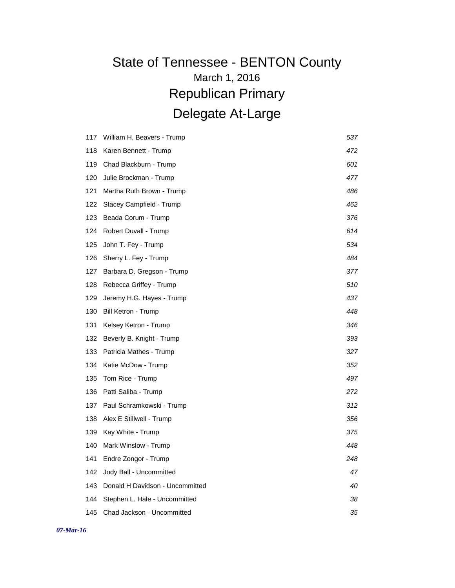| 117 | William H. Beavers - Trump      | 537 |
|-----|---------------------------------|-----|
| 118 | Karen Bennett - Trump           | 472 |
| 119 | Chad Blackburn - Trump          | 601 |
| 120 | Julie Brockman - Trump          | 477 |
| 121 | Martha Ruth Brown - Trump       | 486 |
| 122 | Stacey Campfield - Trump        | 462 |
| 123 | Beada Corum - Trump             | 376 |
| 124 | Robert Duvall - Trump           | 614 |
| 125 | John T. Fey - Trump             | 534 |
| 126 | Sherry L. Fey - Trump           | 484 |
| 127 | Barbara D. Gregson - Trump      | 377 |
| 128 | Rebecca Griffey - Trump         | 510 |
| 129 | Jeremy H.G. Hayes - Trump       | 437 |
| 130 | <b>Bill Ketron - Trump</b>      | 448 |
| 131 | Kelsey Ketron - Trump           | 346 |
| 132 | Beverly B. Knight - Trump       | 393 |
| 133 | Patricia Mathes - Trump         | 327 |
| 134 | Katie McDow - Trump             | 352 |
| 135 | Tom Rice - Trump                | 497 |
| 136 | Patti Saliba - Trump            | 272 |
| 137 | Paul Schramkowski - Trump       | 312 |
| 138 | Alex E Stillwell - Trump        | 356 |
| 139 | Kay White - Trump               | 375 |
| 140 | Mark Winslow - Trump            | 448 |
| 141 | Endre Zongor - Trump            | 248 |
| 142 | Jody Ball - Uncommitted         | 47  |
| 143 | Donald H Davidson - Uncommitted | 40  |
| 144 | Stephen L. Hale - Uncommitted   | 38  |
| 145 | Chad Jackson - Uncommitted      | 35  |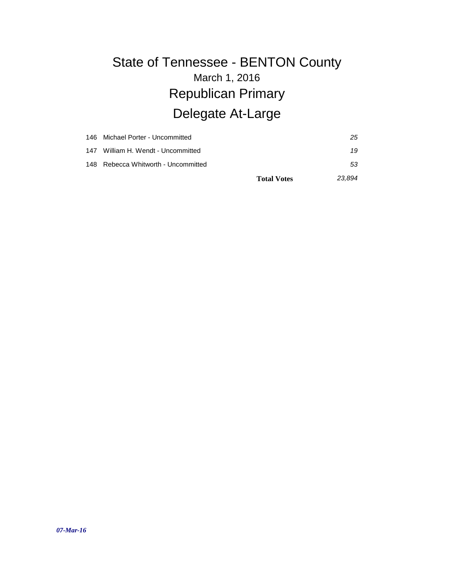|     | 146 Michael Porter - Uncommitted    | 25     |
|-----|-------------------------------------|--------|
| 147 | William H. Wendt - Uncommitted      | 19     |
|     | 148 Rebecca Whitworth - Uncommitted | 53     |
|     | <b>Total Votes</b>                  | 23.894 |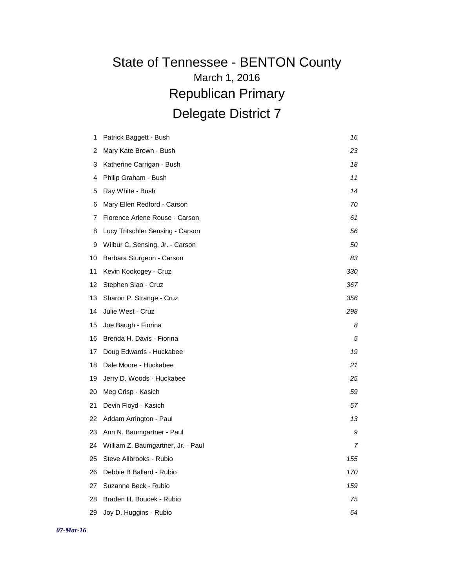| 1  | Patrick Baggett - Bush             | 16  |
|----|------------------------------------|-----|
| 2  | Mary Kate Brown - Bush             | 23  |
| 3  | Katherine Carrigan - Bush          | 18  |
| 4  | Philip Graham - Bush               | 11  |
| 5  | Ray White - Bush                   | 14  |
| 6  | Mary Ellen Redford - Carson        | 70  |
| 7  | Florence Arlene Rouse - Carson     | 61  |
| 8  | Lucy Tritschler Sensing - Carson   | 56  |
| 9  | Wilbur C. Sensing, Jr. - Carson    | 50  |
| 10 | Barbara Sturgeon - Carson          | 83  |
| 11 | Kevin Kookogey - Cruz              | 330 |
| 12 | Stephen Siao - Cruz                | 367 |
| 13 | Sharon P. Strange - Cruz           | 356 |
| 14 | Julie West - Cruz                  | 298 |
| 15 | Joe Baugh - Fiorina                | 8   |
| 16 | Brenda H. Davis - Fiorina          | 5   |
| 17 | Doug Edwards - Huckabee            | 19  |
| 18 | Dale Moore - Huckabee              | 21  |
| 19 | Jerry D. Woods - Huckabee          | 25  |
| 20 | Meg Crisp - Kasich                 | 59  |
| 21 | Devin Floyd - Kasich               | 57  |
| 22 | Addam Arrington - Paul             | 13  |
| 23 | Ann N. Baumgartner - Paul          | 9   |
| 24 | William Z. Baumgartner, Jr. - Paul | 7   |
| 25 | Steve Allbrooks - Rubio            | 155 |
| 26 | Debbie B Ballard - Rubio           | 170 |
| 27 | Suzanne Beck - Rubio               | 159 |
| 28 | Braden H. Boucek - Rubio           | 75  |
| 29 | Joy D. Huggins - Rubio             | 64  |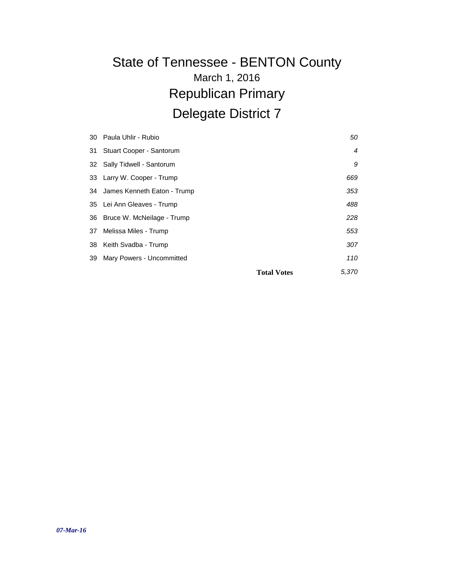| 30 | Paula Uhlir - Rubio         | 50                          |
|----|-----------------------------|-----------------------------|
| 31 | Stuart Cooper - Santorum    | $\overline{4}$              |
| 32 | Sally Tidwell - Santorum    | 9                           |
| 33 | Larry W. Cooper - Trump     | 669                         |
| 34 | James Kenneth Eaton - Trump | 353                         |
| 35 | Lei Ann Gleaves - Trump     | 488                         |
| 36 | Bruce W. McNeilage - Trump  | 228                         |
| 37 | Melissa Miles - Trump       | 553                         |
| 38 | Keith Svadba - Trump        | 307                         |
| 39 | Mary Powers - Uncommitted   | 110                         |
|    |                             | 5,370<br><b>Total Votes</b> |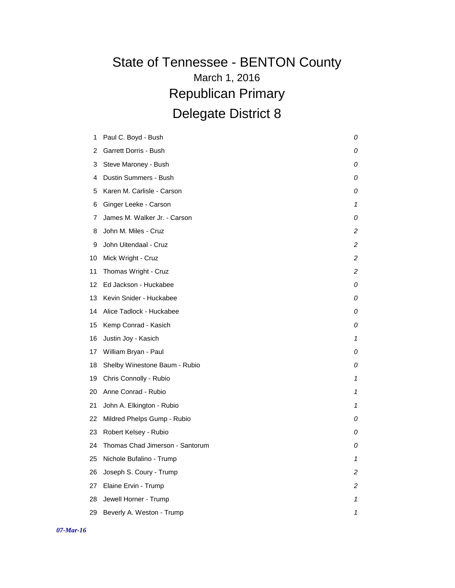| 1  | Paul C. Boyd - Bush             | 0 |
|----|---------------------------------|---|
| 2  | Garrett Dorris - Bush           | 0 |
|    |                                 |   |
| 3  | Steve Maroney - Bush            | 0 |
| 4  | Dustin Summers - Bush           | 0 |
| 5  | Karen M. Carlisle - Carson      | 0 |
| 6  | Ginger Leeke - Carson           | 1 |
| 7  | James M. Walker Jr. - Carson    | 0 |
| 8  | John M. Miles - Cruz            | 2 |
| 9  | John Uitendaal - Cruz           | 2 |
| 10 | Mick Wright - Cruz              | 2 |
| 11 | Thomas Wright - Cruz            | 2 |
| 12 | Ed Jackson - Huckabee           | 0 |
| 13 | Kevin Snider - Huckabee         | 0 |
| 14 | Alice Tadlock - Huckabee        | 0 |
| 15 | Kemp Conrad - Kasich            | 0 |
| 16 | Justin Joy - Kasich             | 1 |
| 17 | William Bryan - Paul            | 0 |
| 18 | Shelby Winestone Baum - Rubio   | 0 |
| 19 | Chris Connolly - Rubio          | 1 |
| 20 | Anne Conrad - Rubio             | 1 |
| 21 | John A. Elkington - Rubio       | 1 |
| 22 | Mildred Phelps Gump - Rubio     | 0 |
| 23 | Robert Kelsey - Rubio           | 0 |
| 24 | Thomas Chad Jimerson - Santorum | 0 |
| 25 | Nichole Bufalino - Trump        | 1 |
| 26 | Joseph S. Coury - Trump         | 2 |
| 27 | Elaine Ervin - Trump            | 2 |
| 28 | Jewell Horner - Trump           | 1 |
| 29 | Beverly A. Weston - Trump       | 1 |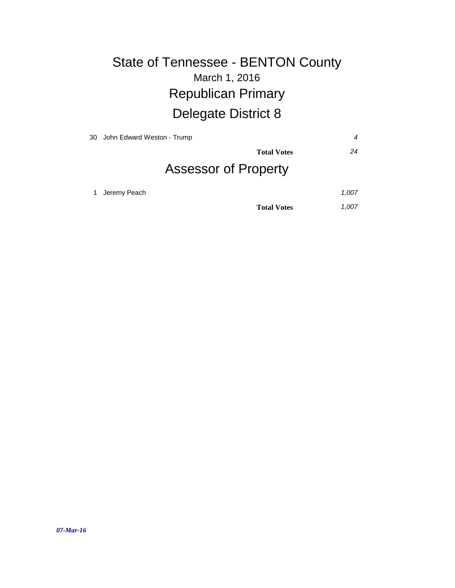| 30 John Edward Weston - Trump |                             | 4     |
|-------------------------------|-----------------------------|-------|
|                               | <b>Total Votes</b>          | 24    |
|                               | <b>Assessor of Property</b> |       |
| Jeremy Peach                  |                             | 1,007 |
|                               | <b>Total Votes</b>          | 1,007 |